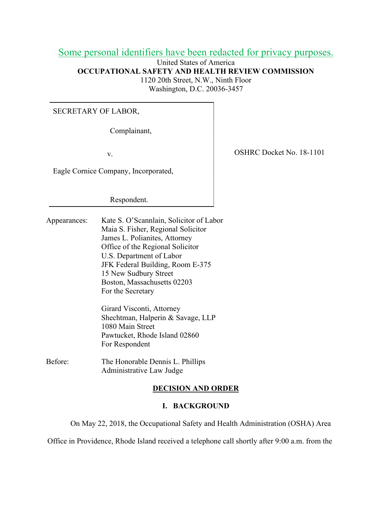# Some personal identifiers have been redacted for privacy purposes.

United States of America **OCCUPATIONAL SAFETY AND HEALTH REVIEW COMMISSION** 1120 20th Street, N.W., Ninth Floor Washington, D.C. 20036-3457

SECRETARY OF LABOR,

Complainant,

Eagle Cornice Company, Incorporated,

Respondent.

Appearances: Kate S. O'Scannlain, Solicitor of Labor Maia S. Fisher, Regional Solicitor James L. Polianites, Attorney Office of the Regional Solicitor U.S. Department of Labor JFK Federal Building, Room E-375 15 New Sudbury Street Boston, Massachusetts 02203 For the Secretary

> Girard Visconti, Attorney Shechtman, Halperin & Savage, LLP 1080 Main Street Pawtucket, Rhode Island 02860 For Respondent

Before: The Honorable Dennis L. Phillips Administrative Law Judge

## **DECISION AND ORDER**

#### **I.****BACKGROUND**

On May 22, 2018, the Occupational Safety and Health Administration (OSHA) Area

Office in Providence, Rhode Island received a telephone call shortly after 9:00 a.m. from the

v. SHRC Docket No. 18-1101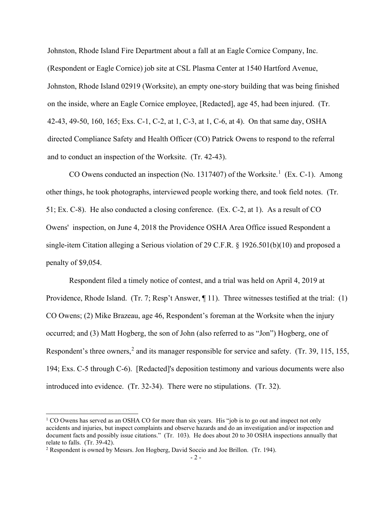Johnston, Rhode Island Fire Department about a fall at an Eagle Cornice Company, Inc. (Respondent or Eagle Cornice) job site at CSL Plasma Center at 1540 Hartford Avenue, Johnston, Rhode Island 02919 (Worksite), an empty one-story building that was being finished on the inside, where an Eagle Cornice employee, [Redacted], age 45, had been injured. (Tr. 42-43, 49-50, 160, 165; Exs. C-1, C-2, at 1, C-3, at 1, C-6, at 4). On that same day, OSHA directed Compliance Safety and Health Officer (CO) Patrick Owens to respond to the referral and to conduct an inspection of the Worksite. (Tr. 42-43).

CO Owens conducted an inspection (No. [1](#page-1-0)317407) of the Worksite.<sup>1</sup> (Ex. C-1). Among other things, he took photographs, interviewed people working there, and took field notes. (Tr. 51; Ex. C-8). He also conducted a closing conference. (Ex. C-2, at 1). As a result of CO Owens' inspection, on June 4, 2018 the Providence OSHA Area Office issued Respondent a single-item Citation alleging a Serious violation of 29 C.F.R. § 1926.501(b)(10) and proposed a penalty of \$9,054.

Respondent filed a timely notice of contest, and a trial was held on April 4, 2019 at Providence, Rhode Island. (Tr. 7; Resp't Answer, ¶ 11). Three witnesses testified at the trial: (1) CO Owens; (2) Mike Brazeau, age 46, Respondent's foreman at the Worksite when the injury occurred; and (3) Matt Hogberg, the son of John (also referred to as "Jon") Hogberg, one of Respondent's three owners,<sup>[2](#page-1-1)</sup> and its manager responsible for service and safety. (Tr. 39, 115, 155, 194; Exs. C-5 through C-6). [Redacted]'s deposition testimony and various documents were also introduced into evidence. (Tr. 32-34). There were no stipulations. (Tr. 32).

<span id="page-1-0"></span> $1 \text{ CO}$  Owens has served as an OSHA CO for more than six years. His "job is to go out and inspect not only accidents and injuries, but inspect complaints and observe hazards and do an investigation and/or inspection and document facts and possibly issue citations." (Tr. 103). He does about 20 to 30 OSHA inspections annually that relate to falls. (Tr. 39-42).

<span id="page-1-1"></span><sup>2</sup> Respondent is owned by Messrs. Jon Hogberg, David Soccio and Joe Brillon. (Tr. 194).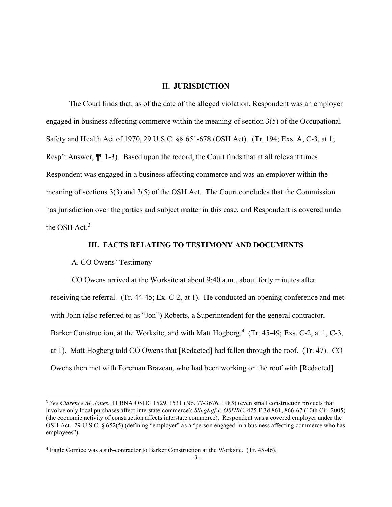### **II. JURISDICTION**

The Court finds that, as of the date of the alleged violation, Respondent was an employer engaged in business affecting commerce within the meaning of section 3(5) of the Occupational Safety and Health Act of 1970, 29 U.S.C. §§ 651-678 (OSH Act). (Tr. 194; Exs. A, C-3, at 1; Resp't Answer, ¶¶ 1-3). Based upon the record, the Court finds that at all relevant times Respondent was engaged in a business affecting commerce and was an employer within the meaning of sections 3(3) and 3(5) of the OSH Act. The Court concludes that the Commission has jurisdiction over the parties and subject matter in this case, and Respondent is covered under the OSH Act. $3$ 

#### **III. FACTS RELATING TO TESTIMONY AND DOCUMENTS**

A. CO Owens' Testimony

CO Owens arrived at the Worksite at about 9:40 a.m., about forty minutes after receiving the referral. (Tr. 44-45; Ex. C-2, at 1). He conducted an opening conference and met with John (also referred to as "Jon") Roberts, a Superintendent for the general contractor, Barker Construction, at the Worksite, and with Matt Hogberg.<sup>[4](#page-2-1)</sup> (Tr. 45-49; Exs. C-2, at 1, C-3, at 1). Matt Hogberg told CO Owens that [Redacted] had fallen through the roof. (Tr. 47). CO Owens then met with Foreman Brazeau, who had been working on the roof with [Redacted]

<span id="page-2-0"></span><sup>3</sup> *See Clarence M. Jones*, 11 BNA OSHC 1529, 1531 (No. 77-3676, 1983) (even small construction projects that involve only local purchases affect interstate commerce); *Slingluff v. OSHRC*, 425 F.3d 861, 866-67 (10th Cir. 2005) (the economic activity of construction affects interstate commerce). Respondent was a covered employer under the OSH Act. 29 U.S.C. § 652(5) (defining "employer" as a "person engaged in a business affecting commerce who has employees").

<span id="page-2-1"></span><sup>4</sup> Eagle Cornice was a sub-contractor to Barker Construction at the Worksite. (Tr. 45-46).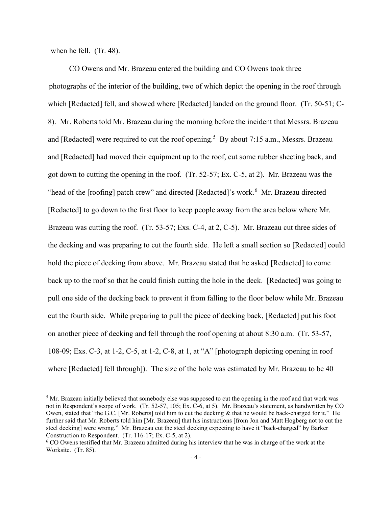when he fell. (Tr. 48).

 CO Owens and Mr. Brazeau entered the building and CO Owens took three photographs of the interior of the building, two of which depict the opening in the roof through which [Redacted] fell, and showed where [Redacted] landed on the ground floor. (Tr. 50-51; C-8). Mr. Roberts told Mr. Brazeau during the morning before the incident that Messrs. Brazeau and [Redacted] were required to cut the roof opening.<sup>[5](#page-3-0)</sup> By about 7:15 a.m., Messrs. Brazeau and [Redacted] had moved their equipment up to the roof, cut some rubber sheeting back, and got down to cutting the opening in the roof. (Tr. 52-57; Ex. C-5, at 2). Mr. Brazeau was the "head of the [roofing] patch crew" and directed [Redacted]'s work.<sup>[6](#page-3-1)</sup> Mr. Brazeau directed [Redacted] to go down to the first floor to keep people away from the area below where Mr. Brazeau was cutting the roof. (Tr. 53-57; Exs. C-4, at 2, C-5). Mr. Brazeau cut three sides of the decking and was preparing to cut the fourth side. He left a small section so [Redacted] could hold the piece of decking from above. Mr. Brazeau stated that he asked [Redacted] to come back up to the roof so that he could finish cutting the hole in the deck. [Redacted] was going to pull one side of the decking back to prevent it from falling to the floor below while Mr. Brazeau cut the fourth side. While preparing to pull the piece of decking back, [Redacted] put his foot on another piece of decking and fell through the roof opening at about 8:30 a.m. (Tr. 53-57, 108-09; Exs. C-3, at 1-2, C-5, at 1-2, C-8, at 1, at "A" [photograph depicting opening in roof where [Redacted] fell through]). The size of the hole was estimated by Mr. Brazeau to be 40

<span id="page-3-0"></span><sup>&</sup>lt;sup>5</sup> Mr. Brazeau initially believed that somebody else was supposed to cut the opening in the roof and that work was not in Respondent's scope of work. (Tr. 52-57, 105; Ex. C-6, at 5). Mr. Brazeau's statement, as handwritten by CO Owen, stated that "the G.C. [Mr. Roberts] told him to cut the decking & that he would be back-charged for it." He further said that Mr. Roberts told him [Mr. Brazeau] that his instructions [from Jon and Matt Hogberg not to cut the steel decking] were wrong." Mr. Brazeau cut the steel decking expecting to have it "back-charged" by Barker Construction to Respondent. (Tr. 116-17; Ex. C-5, at 2).

<span id="page-3-1"></span><sup>6</sup> CO Owens testified that Mr. Brazeau admitted during his interview that he was in charge of the work at the Worksite. (Tr. 85).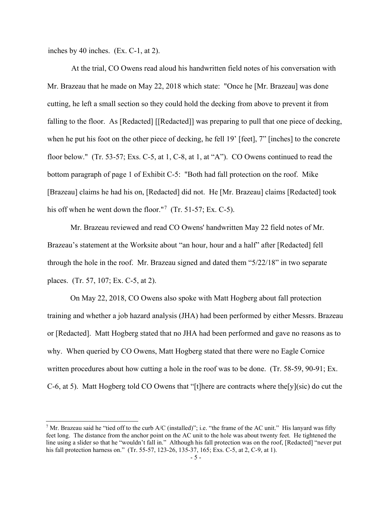inches by 40 inches. (Ex. C-1, at 2).

At the trial, CO Owens read aloud his handwritten field notes of his conversation with Mr. Brazeau that he made on May 22, 2018 which state: "Once he [Mr. Brazeau] was done cutting, he left a small section so they could hold the decking from above to prevent it from falling to the floor. As [Redacted] [[Redacted]] was preparing to pull that one piece of decking, when he put his foot on the other piece of decking, he fell 19' [feet], 7" [inches] to the concrete floor below." (Tr. 53-57; Exs. C-5, at 1, C-8, at 1, at "A"). CO Owens continued to read the bottom paragraph of page 1 of Exhibit C-5: "Both had fall protection on the roof. Mike [Brazeau] claims he had his on, [Redacted] did not. He [Mr. Brazeau] claims [Redacted] took his off when he went down the floor."<sup>[7](#page-4-0)</sup> (Tr. 51-57; Ex. C-5).

Mr. Brazeau reviewed and read CO Owens' handwritten May 22 field notes of Mr. Brazeau's statement at the Worksite about "an hour, hour and a half" after [Redacted] fell through the hole in the roof. Mr. Brazeau signed and dated them "5/22/18" in two separate places. (Tr. 57, 107; Ex. C-5, at 2).

On May 22, 2018, CO Owens also spoke with Matt Hogberg about fall protection training and whether a job hazard analysis (JHA) had been performed by either Messrs. Brazeau or [Redacted]. Matt Hogberg stated that no JHA had been performed and gave no reasons as to why. When queried by CO Owens, Matt Hogberg stated that there were no Eagle Cornice written procedures about how cutting a hole in the roof was to be done. (Tr. 58-59, 90-91; Ex. C-6, at 5). Matt Hogberg told CO Owens that "[t]here are contracts where the [y](sic) do cut the

<span id="page-4-0"></span><sup>&</sup>lt;sup>7</sup> Mr. Brazeau said he "tied off to the curb A/C (installed)"; i.e. "the frame of the AC unit." His lanyard was fifty feet long. The distance from the anchor point on the AC unit to the hole was about twenty feet. He tightened the line using a slider so that he "wouldn't fall in." Although his fall protection was on the roof, [Redacted] "never put his fall protection harness on." (Tr. 55-57, 123-26, 135-37, 165; Exs. C-5, at 2, C-9, at 1).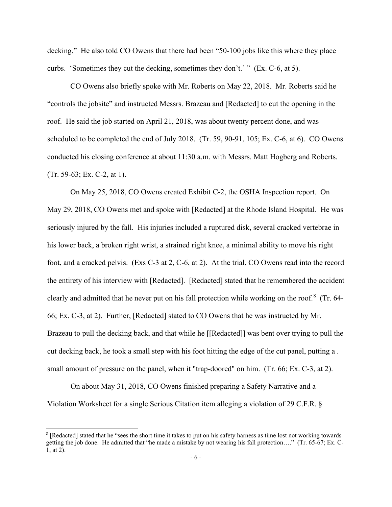decking." He also told CO Owens that there had been "50-100 jobs like this where they place curbs. 'Sometimes they cut the decking, sometimes they don't.' " (Ex. C-6, at 5).

CO Owens also briefly spoke with Mr. Roberts on May 22, 2018. Mr. Roberts said he "controls the jobsite" and instructed Messrs. Brazeau and [Redacted] to cut the opening in the roof. He said the job started on April 21, 2018, was about twenty percent done, and was scheduled to be completed the end of July 2018. (Tr. 59, 90-91, 105; Ex. C-6, at 6). CO Owens conducted his closing conference at about 11:30 a.m. with Messrs. Matt Hogberg and Roberts. (Tr. 59-63; Ex. C-2, at 1).

On May 25, 2018, CO Owens created Exhibit C-2, the OSHA Inspection report. On May 29, 2018, CO Owens met and spoke with [Redacted] at the Rhode Island Hospital. He was seriously injured by the fall. His injuries included a ruptured disk, several cracked vertebrae in his lower back, a broken right wrist, a strained right knee, a minimal ability to move his right foot, and a cracked pelvis. (Exs C-3 at 2, C-6, at 2). At the trial, CO Owens read into the record the entirety of his interview with [Redacted]. [Redacted] stated that he remembered the accident clearly and admitted that he never put on his fall protection while working on the roof.<sup>[8](#page-5-0)</sup> (Tr. 64-66; Ex. C-3, at 2). Further, [Redacted] stated to CO Owens that he was instructed by Mr. Brazeau to pull the decking back, and that while he [[Redacted]] was bent over trying to pull the cut decking back, he took a small step with his foot hitting the edge of the cut panel, putting a small amount of pressure on the panel, when it "trap-doored" on him. (Tr. 66; Ex. C-3, at 2).

On about May 31, 2018, CO Owens finished preparing a Safety Narrative and a Violation Worksheet for a single Serious Citation item alleging a violation of 29 C.F.R. §

<span id="page-5-0"></span><sup>8</sup> [Redacted] stated that he "sees the short time it takes to put on his safety harness as time lost not working towards getting the job done. He admitted that "he made a mistake by not wearing his fall protection…." (Tr. 65-67; Ex. C-1, at 2).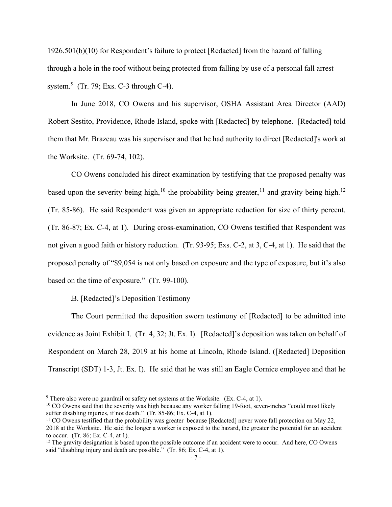1926.501(b)(10) for Respondent's failure to protect [Redacted] from the hazard of falling through a hole in the roof without being protected from falling by use of a personal fall arrest system. $9$  (Tr. 79; Exs. C-3 through C-4).

In June 2018, CO Owens and his supervisor, OSHA Assistant Area Director (AAD) Robert Sestito, Providence, Rhode Island, spoke with [Redacted] by telephone. [Redacted] told them that Mr. Brazeau was his supervisor and that he had authority to direct [Redacted]'s work at the Worksite. (Tr. 69-74, 102).

CO Owens concluded his direct examination by testifying that the proposed penalty was based upon the severity being high,<sup>[10](#page-6-1)</sup> the probability being greater,<sup>[11](#page-6-2)</sup> and gravity being high.<sup>[12](#page-6-3)</sup> (Tr. 85-86). He said Respondent was given an appropriate reduction for size of thirty percent. (Tr. 86-87; Ex. C-4, at 1). During cross-examination, CO Owens testified that Respondent was not given a good faith or history reduction. (Tr. 93-95; Exs. C-2, at 3, C-4, at 1). He said that the proposed penalty of "\$9,054 is not only based on exposure and the type of exposure, but it's also based on the time of exposure." (Tr. 99-100).

#### B. [Redacted]'s Deposition Testimony

The Court permitted the deposition sworn testimony of [Redacted] to be admitted into evidence as Joint Exhibit I. (Tr. 4, 32; Jt. Ex. I). [Redacted]'s deposition was taken on behalf of Respondent on March 28, 2019 at his home at Lincoln, Rhode Island. ([Redacted] Deposition Transcript (SDT) 1-3, Jt. Ex. I). He said that he was still an Eagle Cornice employee and that he

<span id="page-6-0"></span><sup>9</sup> There also were no guardrail or safety net systems at the Worksite. (Ex. C-4, at 1).

<span id="page-6-1"></span><sup>&</sup>lt;sup>10</sup> CO Owens said that the severity was high because any worker falling 19-foot, seven-inches "could most likely suffer disabling injuries, if not death." (Tr. 85-86; Ex. C-4, at 1).

<span id="page-6-2"></span><sup>&</sup>lt;sup>11</sup> CO Owens testified that the probability was greater because [Redacted] never wore fall protection on May 22, 2018 at the Worksite. He said the longer a worker is exposed to the hazard, the greater the potential for an accident to occur. (Tr. 86; Ex. C-4, at 1).

<span id="page-6-3"></span> $12$  The gravity designation is based upon the possible outcome if an accident were to occur. And here, CO Owens said "disabling injury and death are possible." (Tr. 86; Ex. C-4, at 1).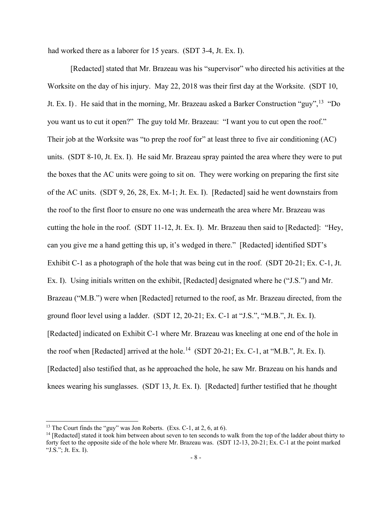had worked there as a laborer for 15 years. (SDT 3-4, Jt. Ex. I).

[Redacted] stated that Mr. Brazeau was his "supervisor" who directed his activities at the Worksite on the day of his injury. May 22, 2018 was their first day at the Worksite. (SDT 10, Jt. Ex. I). He said that in the morning, Mr. Brazeau asked a Barker Construction "guy",  $13$  "Do you want us to cut it open?" The guy told Mr. Brazeau: "I want you to cut open the roof." Their job at the Worksite was "to prep the roof for" at least three to five air conditioning (AC) units. (SDT 8-10, Jt. Ex. I). He said Mr. Brazeau spray painted the area where they were to put the boxes that the AC units were going to sit on. They were working on preparing the first site of the AC units. (SDT 9, 26, 28, Ex. M-1; Jt. Ex. I). [Redacted] said he went downstairs from the roof to the first floor to ensure no one was underneath the area where Mr. Brazeau was cutting the hole in the roof. (SDT 11-12, Jt. Ex. I). Mr. Brazeau then said to [Redacted]: "Hey, can you give me a hand getting this up, it's wedged in there." [Redacted] identified SDT's Exhibit C-1 as a photograph of the hole that was being cut in the roof. (SDT 20-21; Ex. C-1, Jt. Ex. I). Using initials written on the exhibit, [Redacted] designated where he ("J.S.") and Mr. Brazeau ("M.B.") were when [Redacted] returned to the roof, as Mr. Brazeau directed, from the ground floor level using a ladder. (SDT 12, 20-21; Ex. C-1 at "J.S.", "M.B.", Jt. Ex. I). [Redacted] indicated on Exhibit C-1 where Mr. Brazeau was kneeling at one end of the hole in the roof when [Redacted] arrived at the hole.<sup>14</sup> (SDT 20-21; Ex. C-1, at "M.B.", Jt. Ex. I). [Redacted] also testified that, as he approached the hole, he saw Mr. Brazeau on his hands and knees wearing his sunglasses. (SDT 13, Jt. Ex. I). [Redacted] further testified that he thought

<span id="page-7-0"></span><sup>&</sup>lt;sup>13</sup> The Court finds the "guy" was Jon Roberts. (Exs. C-1, at 2, 6, at 6).

<span id="page-7-1"></span><sup>&</sup>lt;sup>14</sup> [Redacted] stated it took him between about seven to ten seconds to walk from the top of the ladder about thirty to forty feet to the opposite side of the hole where Mr. Brazeau was. (SDT 12-13, 20-21; Ex. C-1 at the point marked "J.S."; Jt. Ex. I).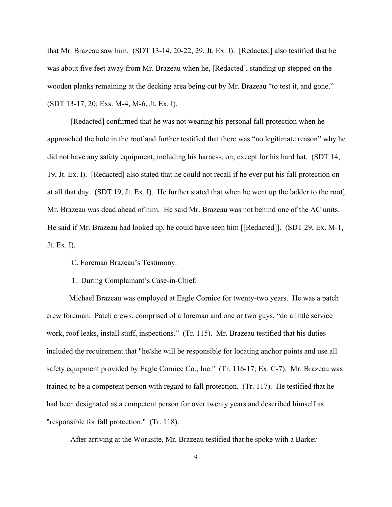that Mr. Brazeau saw him. (SDT 13-14, 20-22, 29, Jt. Ex. I). [Redacted] also testified that he was about five feet away from Mr. Brazeau when he, [Redacted], standing up stepped on the wooden planks remaining at the decking area being cut by Mr. Brazeau "to test it, and gone." (SDT 13-17, 20; Exs. M-4, M-6, Jt. Ex. I).

[Redacted] confirmed that he was not wearing his personal fall protection when he approached the hole in the roof and further testified that there was "no legitimate reason" why he did not have any safety equipment, including his harness, on; except for his hard hat. (SDT 14, 19, Jt. Ex. I). [Redacted] also stated that he could not recall if he ever put his fall protection on at all that day. (SDT 19, Jt. Ex. I). He further stated that when he went up the ladder to the roof, Mr. Brazeau was dead ahead of him. He said Mr. Brazeau was not behind one of the AC units. He said if Mr. Brazeau had looked up, he could have seen him [[Redacted]]. (SDT 29, Ex. M-1, Jt. Ex. I).

C. Foreman Brazeau's Testimony.

1. During Complainant's Case-in-Chief.

Michael Brazeau was employed at Eagle Cornice for twenty-two years. He was a patch crew foreman. Patch crews, comprised of a foreman and one or two guys, "do a little service work, roof leaks, install stuff, inspections." (Tr. 115). Mr. Brazeau testified that his duties included the requirement that "he/she will be responsible for locating anchor points and use all safety equipment provided by Eagle Cornice Co., Inc." (Tr. 116-17; Ex. C-7). Mr. Brazeau was trained to be a competent person with regard to fall protection. (Tr. 117). He testified that he had been designated as a competent person for over twenty years and described himself as "responsible for fall protection." (Tr. 118).

After arriving at the Worksite, Mr. Brazeau testified that he spoke with a Barker

- 9 -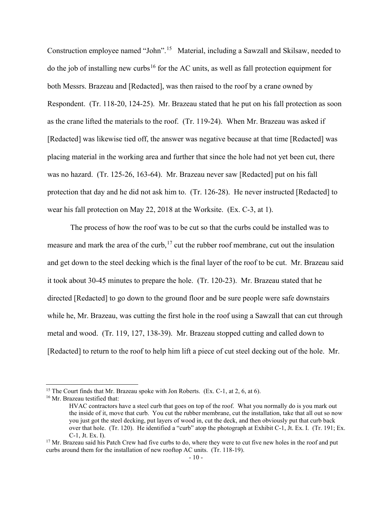Construction employee named "John".[15](#page-9-0) Material, including a Sawzall and Skilsaw, needed to do the job of installing new curbs<sup>[16](#page-9-1)</sup> for the AC units, as well as fall protection equipment for both Messrs. Brazeau and [Redacted], was then raised to the roof by a crane owned by Respondent. (Tr. 118-20, 124-25). Mr. Brazeau stated that he put on his fall protection as soon as the crane lifted the materials to the roof. (Tr. 119-24). When Mr. Brazeau was asked if [Redacted] was likewise tied off, the answer was negative because at that time [Redacted] was placing material in the working area and further that since the hole had not yet been cut, there was no hazard. (Tr. 125-26, 163-64). Mr. Brazeau never saw [Redacted] put on his fall protection that day and he did not ask him to. (Tr. 126-28). He never instructed [Redacted] to wear his fall protection on May 22, 2018 at the Worksite. (Ex. C-3, at 1).

The process of how the roof was to be cut so that the curbs could be installed was to measure and mark the area of the curb,  $17$  cut the rubber roof membrane, cut out the insulation and get down to the steel decking which is the final layer of the roof to be cut. Mr. Brazeau said it took about 30-45 minutes to prepare the hole. (Tr. 120-23). Mr. Brazeau stated that he directed [Redacted] to go down to the ground floor and be sure people were safe downstairs while he, Mr. Brazeau, was cutting the first hole in the roof using a Sawzall that can cut through metal and wood. (Tr. 119, 127, 138-39). Mr. Brazeau stopped cutting and called down to [Redacted] to return to the roof to help him lift a piece of cut steel decking out of the hole. Mr.

<span id="page-9-0"></span><sup>&</sup>lt;sup>15</sup> The Court finds that Mr. Brazeau spoke with Jon Roberts. (Ex. C-1, at 2, 6, at 6).

<span id="page-9-1"></span><sup>16</sup> Mr. Brazeau testified that:

HVAC contractors have a steel curb that goes on top of the roof. What you normally do is you mark out the inside of it, move that curb. You cut the rubber membrane, cut the installation, take that all out so now you just got the steel decking, put layers of wood in, cut the deck, and then obviously put that curb back over that hole. (Tr. 120). He identified a "curb" atop the photograph at Exhibit C-1, Jt. Ex. I. (Tr. 191; Ex. C-1, Jt. Ex. I).

<span id="page-9-2"></span> $17$  Mr. Brazeau said his Patch Crew had five curbs to do, where they were to cut five new holes in the roof and put curbs around them for the installation of new rooftop AC units. (Tr. 118-19).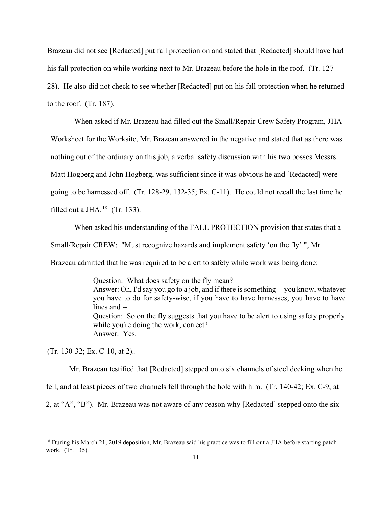Brazeau did not see [Redacted] put fall protection on and stated that [Redacted] should have had his fall protection on while working next to Mr. Brazeau before the hole in the roof. (Tr. 127- 28). He also did not check to see whether [Redacted] put on his fall protection when he returned to the roof. (Tr. 187).

When asked if Mr. Brazeau had filled out the Small/Repair Crew Safety Program, JHA Worksheet for the Worksite, Mr. Brazeau answered in the negative and stated that as there was nothing out of the ordinary on this job, a verbal safety discussion with his two bosses Messrs. Matt Hogberg and John Hogberg, was sufficient since it was obvious he and [Redacted] were going to be harnessed off. (Tr. 128-29, 132-35; Ex. C-11). He could not recall the last time he filled out a JHA. $^{18}$  (Tr. 133).

When asked his understanding of the FALL PROTECTION provision that states that a Small/Repair CREW: "Must recognize hazards and implement safety 'on the fly' ", Mr. Brazeau admitted that he was required to be alert to safety while work was being done:

> Question: What does safety on the fly mean? Answer: Oh, I'd say you go to a job, and if there is something -- you know, whatever you have to do for safety-wise, if you have to have harnesses, you have to have lines and -- Question: So on the fly suggests that you have to be alert to using safety properly while you're doing the work, correct? Answer: Yes.

(Tr. 130-32; Ex. C-10, at 2).

Mr. Brazeau testified that [Redacted] stepped onto six channels of steel decking when he fell, and at least pieces of two channels fell through the hole with him. (Tr. 140-42; Ex. C-9, at 2, at "A", "B"). Mr. Brazeau was not aware of any reason why [Redacted] stepped onto the six

<span id="page-10-0"></span><sup>&</sup>lt;sup>18</sup> During his March 21, 2019 deposition, Mr. Brazeau said his practice was to fill out a JHA before starting patch work. (Tr. 135).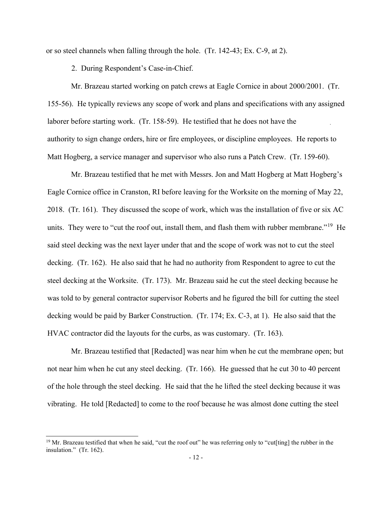or so steel channels when falling through the hole. (Tr. 142-43; Ex. C-9, at 2).

2. During Respondent's Case-in-Chief.

Mr. Brazeau started working on patch crews at Eagle Cornice in about 2000/2001. (Tr. 155-56). He typically reviews any scope of work and plans and specifications with any assigned laborer before starting work. (Tr. 158-59). He testified that he does not have the authority to sign change orders, hire or fire employees, or discipline employees. He reports to Matt Hogberg, a service manager and supervisor who also runs a Patch Crew. (Tr. 159-60).

Mr. Brazeau testified that he met with Messrs. Jon and Matt Hogberg at Matt Hogberg's Eagle Cornice office in Cranston, RI before leaving for the Worksite on the morning of May 22, 2018. (Tr. 161). They discussed the scope of work, which was the installation of five or six AC units. They were to "cut the roof out, install them, and flash them with rubber membrane."<sup>19</sup> He said steel decking was the next layer under that and the scope of work was not to cut the steel decking. (Tr. 162). He also said that he had no authority from Respondent to agree to cut the steel decking at the Worksite. (Tr. 173). Mr. Brazeau said he cut the steel decking because he was told to by general contractor supervisor Roberts and he figured the bill for cutting the steel decking would be paid by Barker Construction. (Tr. 174; Ex. C-3, at 1). He also said that the HVAC contractor did the layouts for the curbs, as was customary. (Tr. 163).

Mr. Brazeau testified that [Redacted] was near him when he cut the membrane open; but not near him when he cut any steel decking. (Tr. 166). He guessed that he cut 30 to 40 percent of the hole through the steel decking. He said that the he lifted the steel decking because it was vibrating. He told [Redacted] to come to the roof because he was almost done cutting the steel

<span id="page-11-0"></span> $19$  Mr. Brazeau testified that when he said, "cut the roof out" he was referring only to "cutfting] the rubber in the insulation." (Tr. 162).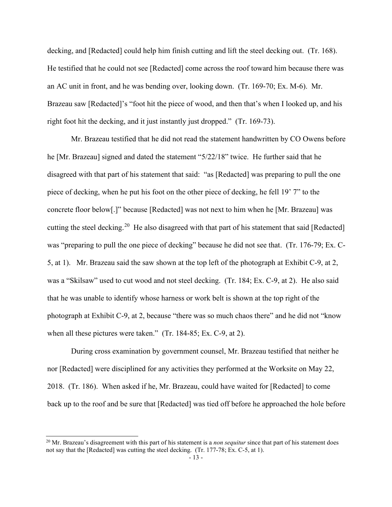decking, and [Redacted] could help him finish cutting and lift the steel decking out. (Tr. 168). He testified that he could not see [Redacted] come across the roof toward him because there was an AC unit in front, and he was bending over, looking down. (Tr. 169-70; Ex. M-6). Mr. Brazeau saw [Redacted]'s "foot hit the piece of wood, and then that's when I looked up, and his right foot hit the decking, and it just instantly just dropped." (Tr. 169-73).

Mr. Brazeau testified that he did not read the statement handwritten by CO Owens before he [Mr. Brazeau] signed and dated the statement "5/22/18" twice. He further said that he disagreed with that part of his statement that said: "as [Redacted] was preparing to pull the one piece of decking, when he put his foot on the other piece of decking, he fell 19' 7" to the concrete floor below[.]" because [Redacted] was not next to him when he [Mr. Brazeau] was cutting the steel decking.<sup>20</sup> He also disagreed with that part of his statement that said [Redacted] was "preparing to pull the one piece of decking" because he did not see that. (Tr. 176-79; Ex. C-5, at 1). Mr. Brazeau said the saw shown at the top left of the photograph at Exhibit C-9, at 2, was a "Skilsaw" used to cut wood and not steel decking. (Tr. 184; Ex. C-9, at 2). He also said that he was unable to identify whose harness or work belt is shown at the top right of the photograph at Exhibit C-9, at 2, because "there was so much chaos there" and he did not "know when all these pictures were taken." (Tr. 184-85; Ex. C-9, at 2).

During cross examination by government counsel, Mr. Brazeau testified that neither he nor [Redacted] were disciplined for any activities they performed at the Worksite on May 22, 2018. (Tr. 186). When asked if he, Mr. Brazeau, could have waited for [Redacted] to come back up to the roof and be sure that [Redacted] was tied off before he approached the hole before

<span id="page-12-0"></span><sup>&</sup>lt;sup>20</sup> Mr. Brazeau's disagreement with this part of his statement is a *non sequitur* since that part of his statement does not say that the [Redacted] was cutting the steel decking. (Tr. 177-78; Ex. C-5, at 1).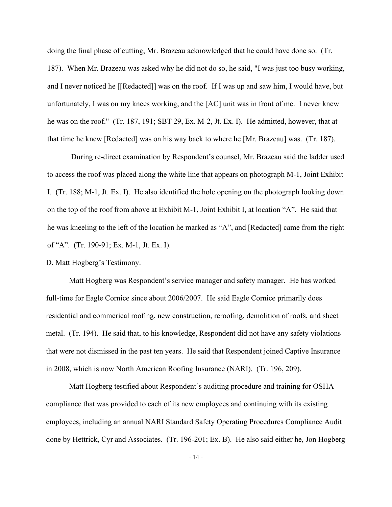doing the final phase of cutting, Mr. Brazeau acknowledged that he could have done so. (Tr. 187). When Mr. Brazeau was asked why he did not do so, he said, "I was just too busy working, and I never noticed he [[Redacted]] was on the roof. If I was up and saw him, I would have, but unfortunately, I was on my knees working, and the [AC] unit was in front of me. I never knew he was on the roof." (Tr. 187, 191; SBT 29, Ex. M-2, Jt. Ex. I). He admitted, however, that at that time he knew [Redacted] was on his way back to where he [Mr. Brazeau] was. (Tr. 187).

During re-direct examination by Respondent's counsel, Mr. Brazeau said the ladder used to access the roof was placed along the white line that appears on photograph M-1, Joint Exhibit I. (Tr. 188; M-1, Jt. Ex. I). He also identified the hole opening on the photograph looking down on the top of the roof from above at Exhibit M-1, Joint Exhibit I, at location "A". He said that he was kneeling to the left of the location he marked as "A", and [Redacted] came from the right of "A". (Tr. 190-91; Ex. M-1, Jt. Ex. I).

D. Matt Hogberg's Testimony.

Matt Hogberg was Respondent's service manager and safety manager. He has worked full-time for Eagle Cornice since about 2006/2007. He said Eagle Cornice primarily does residential and commerical roofing, new construction, reroofing, demolition of roofs, and sheet metal. (Tr. 194). He said that, to his knowledge, Respondent did not have any safety violations that were not dismissed in the past ten years. He said that Respondent joined Captive Insurance in 2008, which is now North American Roofing Insurance (NARI). (Tr. 196, 209).

Matt Hogberg testified about Respondent's auditing procedure and training for OSHA compliance that was provided to each of its new employees and continuing with its existing employees, including an annual NARI Standard Safety Operating Procedures Compliance Audit done by Hettrick, Cyr and Associates. (Tr. 196-201; Ex. B). He also said either he, Jon Hogberg

- 14 -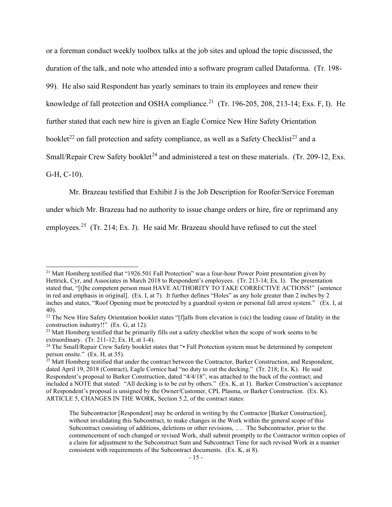or a foreman conduct weekly toolbox talks at the job sites and upload the topic discussed, the duration of the talk, and note who attended into a software program called Dataforma. (Tr. 198- 99). He also said Respondent has yearly seminars to train its employees and renew their knowledge of fall protection and OSHA compliance.<sup>[21](#page-14-0)</sup> (Tr. 196-205, 208, 213-14; Exs. F, I). He further stated that each new hire is given an Eagle Cornice New Hire Safety Orientation booklet<sup>22</sup> on fall protection and safety compliance, as well as a Safety Checklist<sup>[23](#page-14-2)</sup> and a Small/Repair Crew Safety booklet<sup>[24](#page-14-3)</sup> and administered a test on these materials. (Tr. 209-12, Exs. G-H, C-10).

Mr. Brazeau testified that Exhibit J is the Job Description for Roofer/Service Foreman

under which Mr. Brazeau had no authority to issue change orders or hire, fire or reprimand any

employees.<sup>[25](#page-14-4)</sup> (Tr. 214; Ex. J). He said Mr. Brazeau should have refused to cut the steel

<span id="page-14-0"></span><sup>&</sup>lt;sup>21</sup> Matt Homberg testified that "1926.501 Fall Protection" was a four-hour Power Point presentation given by Hettrick, Cyr, and Associates in March 2018 to Respondent's employees. (Tr. 213-14; Ex. I). The presentation stated that, "[t]he competent person must HAVE AUTHORITY TO TAKE CORRECTIVE ACTIONS!" [sentence in red and emphasis in original]. (Ex. I, at 7). It further defines "Holes" as any hole greater than 2 inches by 2 inches and states, "Roof Opening must be protected by a guardrail system or personal fall arrest system." (Ex. I, at 40).

<span id="page-14-1"></span> $22$  The New Hire Safety Orientation booklet states "[f]alls from elevation is (sic) the leading cause of fatality in the construction industry!!" (Ex. G, at 12).

<span id="page-14-2"></span><sup>&</sup>lt;sup>23</sup> Matt Homberg testified that he primarily fills out a safety checklist when the scope of work seems to be extraordinary. (Tr. 211-12; Ex. H, at 1-4).

<span id="page-14-3"></span><sup>&</sup>lt;sup>24</sup> The Small/Repair Crew Safety booklet states that "• Fall Protection system must be determined by competent person onsite." (Ex. H, at 35).

<span id="page-14-4"></span><sup>&</sup>lt;sup>25</sup> Matt Homberg testified that under the contract between the Contractor, Barker Construction, and Respondent, dated April 19, 2018 (Contract), Eagle Cornice had "no duty to cut the decking." (Tr. 218; Ex. K). He said Respondent's proposal to Barker Construction, dated "4/4/18", was attached to the back of the contract; and included a NOTE that stated: "All decking is to be cut by others." (Ex. K, at 1). Barker Construction's acceptance of Respondent's proposal is unsigned by the Owner/Customer, CPL Plasma, or Barker Construction. (Ex. K). ARTICLE 5, CHANGES IN THE WORK, Section 5.2, of the contract states:

The Subcontractor [Respondent] may be ordered in writing by the Contractor [Barker Construction], without invalidating this Subcontract, to make changes in the Work within the general scope of this Subcontract consisting of additions, deletions or other revisions, …. The Subcontractor, prior to the commencement of such changed or revised Work, shall submit promptly to the Contractor written copies of a claim for adjustment to the Subconstruct Sum and Subcontract Time for such revised Work in a manner consistent with requirements of the Subcontract documents. (Ex. K, at 8).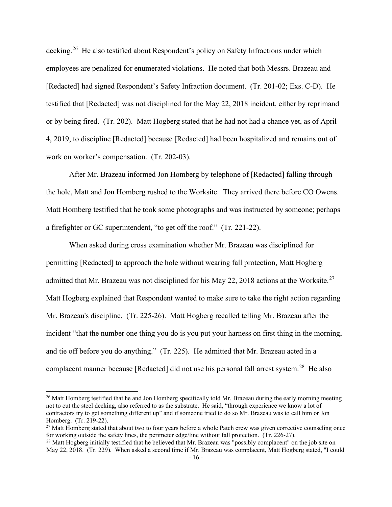decking.<sup>26</sup> He also testified about Respondent's policy on Safety Infractions under which employees are penalized for enumerated violations. He noted that both Messrs. Brazeau and [Redacted] had signed Respondent's Safety Infraction document. (Tr. 201-02; Exs. C-D). He testified that [Redacted] was not disciplined for the May 22, 2018 incident, either by reprimand or by being fired. (Tr. 202). Matt Hogberg stated that he had not had a chance yet, as of April 4, 2019, to discipline [Redacted] because [Redacted] had been hospitalized and remains out of work on worker's compensation. (Tr. 202-03).

After Mr. Brazeau informed Jon Homberg by telephone of [Redacted] falling through the hole, Matt and Jon Homberg rushed to the Worksite. They arrived there before CO Owens. Matt Homberg testified that he took some photographs and was instructed by someone; perhaps a firefighter or GC superintendent, "to get off the roof." (Tr. 221-22).

When asked during cross examination whether Mr. Brazeau was disciplined for permitting [Redacted] to approach the hole without wearing fall protection, Matt Hogberg admitted that Mr. Brazeau was not disciplined for his May 22, 2018 actions at the Worksite.<sup>27</sup> Matt Hogberg explained that Respondent wanted to make sure to take the right action regarding Mr. Brazeau's discipline. (Tr. 225-26). Matt Hogberg recalled telling Mr. Brazeau after the incident "that the number one thing you do is you put your harness on first thing in the morning, and tie off before you do anything." (Tr. 225). He admitted that Mr. Brazeau acted in a complacent manner because [Redacted] did not use his personal fall arrest system.<sup>28</sup> He also

<span id="page-15-0"></span><sup>&</sup>lt;sup>26</sup> Matt Homberg testified that he and Jon Homberg specifically told Mr. Brazeau during the early morning meeting not to cut the steel decking, also referred to as the substrate. He said, "through experience we know a lot of contractors try to get something different up" and if someone tried to do so Mr. Brazeau was to call him or Jon Homberg. (Tr. 219-22).

<span id="page-15-1"></span><sup>&</sup>lt;sup>27</sup> Matt Homberg stated that about two to four years before a whole Patch crew was given corrective counseling once for working outside the safety lines, the perimeter edge/line without fall protection. (Tr. 226-27).

<span id="page-15-2"></span><sup>&</sup>lt;sup>28</sup> Matt Hogberg initially testified that he believed that Mr. Brazeau was "possibly complacent" on the job site on May 22, 2018. (Tr. 229). When asked a second time if Mr. Brazeau was complacent, Matt Hogberg stated, "I could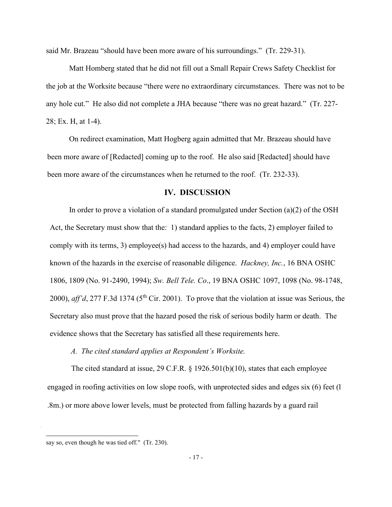said Mr. Brazeau "should have been more aware of his surroundings." (Tr. 229-31).

Matt Homberg stated that he did not fill out a Small Repair Crews Safety Checklist for the job at the Worksite because "there were no extraordinary circumstances. There was not to be any hole cut." He also did not complete a JHA because "there was no great hazard." (Tr. 227- 28; Ex. H, at 1-4).

On redirect examination, Matt Hogberg again admitted that Mr. Brazeau should have been more aware of [Redacted] coming up to the roof. He also said [Redacted] should have been more aware of the circumstances when he returned to the roof. (Tr. 232-33).

#### **IV. DISCUSSION**

In order to prove a violation of a standard promulgated under Section  $(a)(2)$  of the OSH Act, the Secretary must show that the: 1) standard applies to the facts, 2) employer failed to comply with its terms, 3) employee(s) had access to the hazards, and 4) employer could have known of the hazards in the exercise of reasonable diligence. *Hackney, Inc.*, 16 BNA OSHC 1806, 1809 (No. 91-2490, 1994); *Sw. Bell Tele. Co*., 19 BNA OSHC 1097, 1098 (No. 98-1748, 2000), *aff'd*, 277 F.3d 1374 (5<sup>th</sup> Cir. 2001). To prove that the violation at issue was Serious, the Secretary also must prove that the hazard posed the risk of serious bodily harm or death. The evidence shows that the Secretary has satisfied all these requirements here.

*A. The cited standard applies at Respondent's Worksite.* 

The cited standard at issue, 29 C.F.R. § 1926.501(b)(10), states that each employee engaged in roofing activities on low slope roofs, with unprotected sides and edges six (6) feet (l .8m.) or more above lower levels, must be protected from falling hazards by a guard rail

say so, even though he was tied off." (Tr. 230).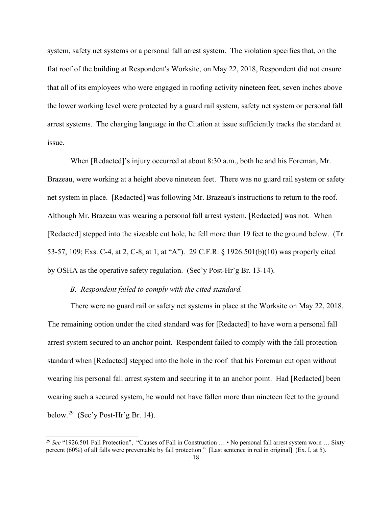system, safety net systems or a personal fall arrest system. The violation specifies that, on the flat roof of the building at Respondent's Worksite, on May 22, 2018, Respondent did not ensure that all of its employees who were engaged in roofing activity nineteen feet, seven inches above the lower working level were protected by a guard rail system, safety net system or personal fall arrest systems. The charging language in the Citation at issue sufficiently tracks the standard at issue.

When [Redacted]'s injury occurred at about 8:30 a.m., both he and his Foreman, Mr. Brazeau, were working at a height above nineteen feet. There was no guard rail system or safety net system in place. [Redacted] was following Mr. Brazeau's instructions to return to the roof. Although Mr. Brazeau was wearing a personal fall arrest system, [Redacted] was not. When [Redacted] stepped into the sizeable cut hole, he fell more than 19 feet to the ground below. (Tr. 53-57, 109; Exs. C-4, at 2, C-8, at 1, at "A"). 29 C.F.R. § 1926.501(b)(10) was properly cited by OSHA as the operative safety regulation. (Sec'y Post-Hr'g Br. 13-14).

## *B. Respondent failed to comply with the cited standard.*

There were no guard rail or safety net systems in place at the Worksite on May 22, 2018. The remaining option under the cited standard was for [Redacted] to have worn a personal fall arrest system secured to an anchor point. Respondent failed to comply with the fall protection standard when [Redacted] stepped into the hole in the roof that his Foreman cut open without wearing his personal fall arrest system and securing it to an anchor point. Had [Redacted] been wearing such a secured system, he would not have fallen more than nineteen feet to the ground below.<sup>[29](#page-17-0)</sup> (Sec'y Post-Hr'g Br. 14).

<span id="page-17-0"></span><sup>29</sup> *See* "1926.501 Fall Protection", "Causes of Fall in Construction … • No personal fall arrest system worn … Sixty percent (60%) of all falls were preventable by fall protection " [Last sentence in red in original] (Ex. I, at 5).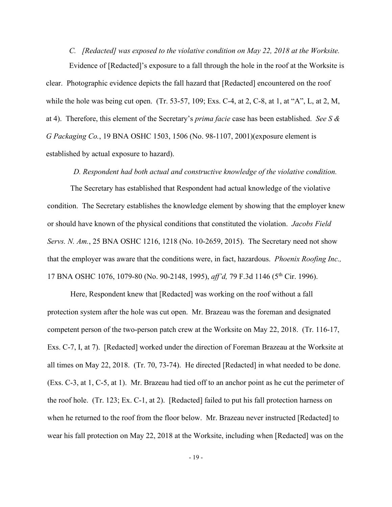*C. [Redacted] was exposed to the violative condition on May 22, 2018 at the Worksite.* 

Evidence of [Redacted]'s exposure to a fall through the hole in the roof at the Worksite is clear. Photographic evidence depicts the fall hazard that [Redacted] encountered on the roof while the hole was being cut open. (Tr. 53-57, 109; Exs. C-4, at 2, C-8, at 1, at "A", L, at 2, M, at 4). Therefore, this element of the Secretary's *prima facie* case has been established. *See S & G Packaging Co.*, 19 BNA OSHC 1503, 1506 (No. 98-1107, 2001)(exposure element is established by actual exposure to hazard).

#### *D. Respondent had both actual and constructive knowledge of the violative condition.*

The Secretary has established that Respondent had actual knowledge of the violative condition. The Secretary establishes the knowledge element by showing that the employer knew or should have known of the physical conditions that constituted the violation. *Jacobs Field Servs. N. Am.*, 25 BNA OSHC 1216, 1218 (No. 10-2659, 2015). The Secretary need not show that the employer was aware that the conditions were, in fact, hazardous. *Phoenix Roofing Inc.,*  17 BNA OSHC 1076, 1079-80 (No. 90-2148, 1995), *aff'd,* 79 F.3d 1146 (5th Cir. 1996).

Here, Respondent knew that [Redacted] was working on the roof without a fall protection system after the hole was cut open. Mr. Brazeau was the foreman and designated competent person of the two-person patch crew at the Worksite on May 22, 2018. (Tr. 116-17, Exs. C-7, I, at 7). [Redacted] worked under the direction of Foreman Brazeau at the Worksite at all times on May 22, 2018. (Tr. 70, 73-74). He directed [Redacted] in what needed to be done. (Exs. C-3, at 1, C-5, at 1). Mr. Brazeau had tied off to an anchor point as he cut the perimeter of the roof hole. (Tr. 123; Ex. C-1, at 2). [Redacted] failed to put his fall protection harness on when he returned to the roof from the floor below. Mr. Brazeau never instructed [Redacted] to wear his fall protection on May 22, 2018 at the Worksite, including when [Redacted] was on the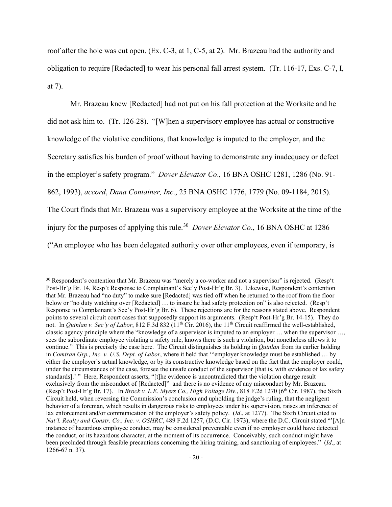roof after the hole was cut open. (Ex. C-3, at 1, C-5, at 2). Mr. Brazeau had the authority and obligation to require [Redacted] to wear his personal fall arrest system. (Tr. 116-17, Exs. C-7, I, at 7).

Mr. Brazeau knew [Redacted] had not put on his fall protection at the Worksite and he did not ask him to. (Tr. 126-28). "[W]hen a supervisory employee has actual or constructive knowledge of the violative conditions, that knowledge is imputed to the employer, and the Secretary satisfies his burden of proof without having to demonstrate any inadequacy or defect in the employer's safety program." *Dover Elevator Co*., 16 BNA OSHC 1281, 1286 (No. 91- 862, 1993), *accord*, *Dana Container, Inc*., 25 BNA OSHC 1776, 1779 (No. 09-1184, 2015). The Court finds that Mr. Brazeau was a supervisory employee at the Worksite at the time of the injury for the purposes of applying this rule.<sup>30</sup> *Dover Elevator Co.*, 16 BNA OSHC at 1286 ("An employee who has been delegated authority over other employees, even if temporary, is

<span id="page-19-0"></span><sup>&</sup>lt;sup>30</sup> Respondent's contention that Mr. Brazeau was "merely a co-worker and not a supervisor" is rejected. (Resp't Post-Hr'g Br. 14, Resp't Response to Complainant's Sec'y Post-Hr'g Br. 3). Likewise, Respondent's contention that Mr. Brazeau had "no duty" to make sure [Redacted] was tied off when he returned to the roof from the floor below or "no duty watching over [Redacted] … to insure he had safety protection on" is also rejected. (Resp't Response to Complainant's Sec'y Post-Hr'g Br. 6). These rejections are for the reasons stated above. Respondent points to several circuit court cases that supposedly support its arguments. (Resp't Post-Hr'g Br. 14-15). They do not. In *Quinlan v. Sec'y of Labor*, 812 F.3d 832 (11<sup>th</sup> Cir. 2016), the 11<sup>th</sup> Circuit reaffirmed the well-established, classic agency principle where the "knowledge of a supervisor is imputed to an employer … when the supervisor …, sees the subordinate employee violating a safety rule, knows there is such a violation, but nonetheless allows it to continue." This is precisely the case here. The Circuit distinguishes its holding in *Quinlan* from its earlier holding in *Comtran Grp., Inc. v. U.S. Dept. of Labor*, where it held that '"employer knowledge must be established … by either the employer's actual knowledge, or by its constructive knowledge based on the fact that the employer could, under the circumstances of the case, foresee the unsafe conduct of the supervisor [that is, with evidence of lax safety standards].' " Here, Respondent asserts, "[t]he evidence is uncontradicted that the violation charge result exclusively from the misconduct of [Redacted]" and there is no evidence of any misconduct by Mr. Brazeau. (Resp't Post-Hr'g Br. 17). In *Brock v. L.E. Myers Co., High Voltage Div.*, 818 F.2d 1270 (6<sup>th</sup> Cir. 1987), the Sixth Circuit held, when reversing the Commission's conclusion and upholding the judge's ruling, that the negligent behavior of a foreman, which results in dangerous risks to employees under his supervision, raises an inference of lax enforcement and/or communication of the employer's safety policy. (*Id*., at 1277). The Sixth Circuit cited to *Nat'l. Realty and Constr. Co., Inc. v. OSHRC*, 489 F.2d 1257, (D.C. Cir. 1973), where the D.C. Circuit stated "'[A]n instance of hazardous employee conduct, may be considered preventable even if no employer could have detected the conduct, or its hazardous character, at the moment of its occurrence. Conceivably, such conduct might have been precluded through feasible precautions concerning the hiring training, and sanctioning of employees." (*Id*., at 1266-67 n. 37).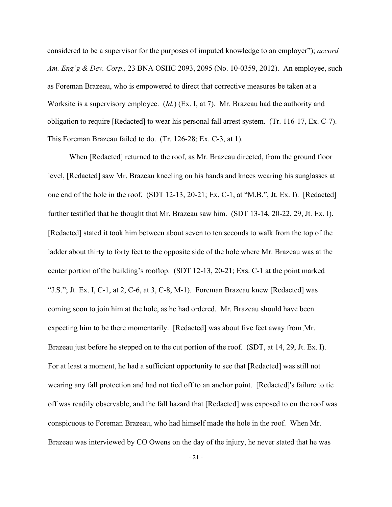considered to be a supervisor for the purposes of imputed knowledge to an employer"); *accord Am. Eng'g & Dev. Corp*., 23 BNA OSHC 2093, 2095 (No. 10-0359, 2012). An employee, such as Foreman Brazeau, who is empowered to direct that corrective measures be taken at a Worksite is a supervisory employee. (*Id.*) (Ex. I, at 7). Mr. Brazeau had the authority and obligation to require [Redacted] to wear his personal fall arrest system. (Tr. 116-17, Ex. C-7). This Foreman Brazeau failed to do. (Tr. 126-28; Ex. C-3, at 1).

When [Redacted] returned to the roof, as Mr. Brazeau directed, from the ground floor level, [Redacted] saw Mr. Brazeau kneeling on his hands and knees wearing his sunglasses at one end of the hole in the roof. (SDT 12-13, 20-21; Ex. C-1, at "M.B.", Jt. Ex. I). [Redacted] further testified that he thought that Mr. Brazeau saw him. (SDT 13-14, 20-22, 29, Jt. Ex. I). [Redacted] stated it took him between about seven to ten seconds to walk from the top of the ladder about thirty to forty feet to the opposite side of the hole where Mr. Brazeau was at the center portion of the building's rooftop. (SDT 12-13, 20-21; Exs. C-1 at the point marked "J.S."; Jt. Ex. I, C-1, at 2, C-6, at 3, C-8, M-1). Foreman Brazeau knew [Redacted] was coming soon to join him at the hole, as he had ordered. Mr. Brazeau should have been expecting him to be there momentarily. [Redacted] was about five feet away from Mr. Brazeau just before he stepped on to the cut portion of the roof. (SDT, at 14, 29, Jt. Ex. I). For at least a moment, he had a sufficient opportunity to see that [Redacted] was still not wearing any fall protection and had not tied off to an anchor point. [Redacted]'s failure to tie off was readily observable, and the fall hazard that [Redacted] was exposed to on the roof was conspicuous to Foreman Brazeau, who had himself made the hole in the roof. When Mr. Brazeau was interviewed by CO Owens on the day of the injury, he never stated that he was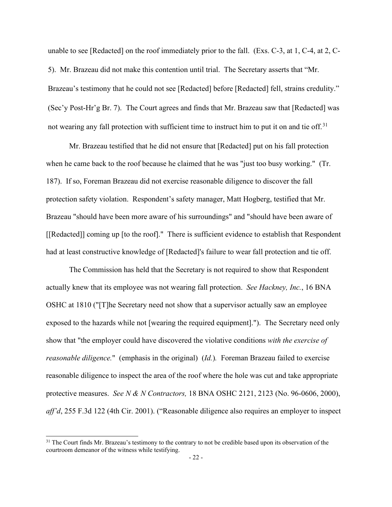unable to see [Redacted] on the roof immediately prior to the fall. (Exs. C-3, at 1, C-4, at 2, C-5). Mr. Brazeau did not make this contention until trial. The Secretary asserts that "Mr. Brazeau's testimony that he could not see [Redacted] before [Redacted] fell, strains credulity." (Sec'y Post-Hr'g Br. 7). The Court agrees and finds that Mr. Brazeau saw that [Redacted] was not wearing any fall protection with sufficient time to instruct him to put it on and tie off.<sup>[31](#page-21-0)</sup>

Mr. Brazeau testified that he did not ensure that [Redacted] put on his fall protection when he came back to the roof because he claimed that he was "just too busy working." (Tr. 187). If so, Foreman Brazeau did not exercise reasonable diligence to discover the fall protection safety violation. Respondent's safety manager, Matt Hogberg, testified that Mr. Brazeau "should have been more aware of his surroundings" and "should have been aware of [[Redacted]] coming up [to the roof]." There is sufficient evidence to establish that Respondent had at least constructive knowledge of [Redacted]'s failure to wear fall protection and tie off.

The Commission has held that the Secretary is not required to show that Respondent actually knew that its employee was not wearing fall protection. *See Hackney, Inc.*, 16 BNA OSHC at 1810 ("[T]he Secretary need not show that a supervisor actually saw an employee exposed to the hazards while not [wearing the required equipment]."). The Secretary need only show that "the employer could have discovered the violative conditions *with the exercise of reasonable diligence.*" (emphasis in the original) (*Id.*)*.* Foreman Brazeau failed to exercise reasonable diligence to inspect the area of the roof where the hole was cut and take appropriate protective measures. *See N & N Contractors,* 18 BNA OSHC 2121, 2123 (No. 96-0606, 2000), *aff'd*, 255 F.3d 122 (4th Cir. 2001). ("Reasonable diligence also requires an employer to inspect

<span id="page-21-0"></span><sup>&</sup>lt;sup>31</sup> The Court finds Mr. Brazeau's testimony to the contrary to not be credible based upon its observation of the courtroom demeanor of the witness while testifying.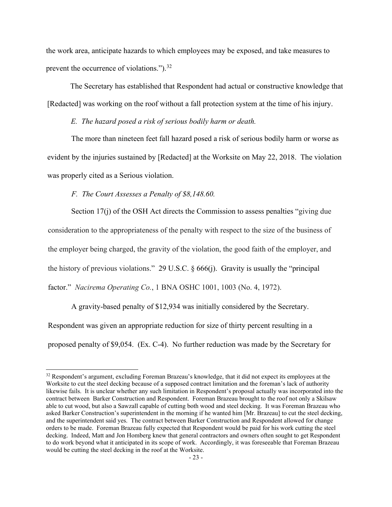the work area, anticipate hazards to which employees may be exposed, and take measures to prevent the occurrence of violations.").<sup>[32](#page-22-0)</sup>

The Secretary has established that Respondent had actual or constructive knowledge that [Redacted] was working on the roof without a fall protection system at the time of his injury.

*E. The hazard posed a risk of serious bodily harm or death.* 

The more than nineteen feet fall hazard posed a risk of serious bodily harm or worse as evident by the injuries sustained by [Redacted] at the Worksite on May 22, 2018. The violation was properly cited as a Serious violation.

*F. The Court Assesses a Penalty of \$8,148.60.* 

Section 17(j) of the OSH Act directs the Commission to assess penalties "giving due consideration to the appropriateness of the penalty with respect to the size of the business of the employer being charged, the gravity of the violation, the good faith of the employer, and the history of previous violations." 29 U.S.C. § 666(j). Gravity is usually the "principal factor." *Nacirema Operating Co.*, 1 BNA OSHC 1001, 1003 (No. 4, 1972).

A gravity-based penalty of \$12,934 was initially considered by the Secretary. Respondent was given an appropriate reduction for size of thirty percent resulting in a proposed penalty of \$9,054. (Ex. C-4). No further reduction was made by the Secretary for

<span id="page-22-0"></span><sup>&</sup>lt;sup>32</sup> Respondent's argument, excluding Foreman Brazeau's knowledge, that it did not expect its employees at the Worksite to cut the steel decking because of a supposed contract limitation and the foreman's lack of authority likewise fails. It is unclear whether any such limitation in Respondent's proposal actually was incorporated into the contract between Barker Construction and Respondent. Foreman Brazeau brought to the roof not only a Skilsaw able to cut wood, but also a Sawzall capable of cutting both wood and steel decking. It was Foreman Brazeau who asked Barker Construction's superintendent in the morning if he wanted him [Mr. Brazeau] to cut the steel decking, and the superintendent said yes. The contract between Barker Construction and Respondent allowed for change orders to be made. Foreman Brazeau fully expected that Respondent would be paid for his work cutting the steel decking. Indeed, Matt and Jon Homberg knew that general contractors and owners often sought to get Respondent to do work beyond what it anticipated in its scope of work. Accordingly, it was foreseeable that Foreman Brazeau would be cutting the steel decking in the roof at the Worksite.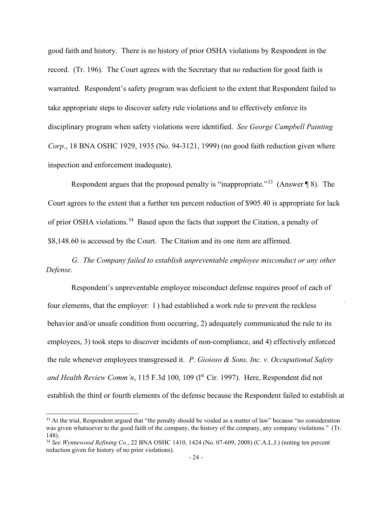good faith and history. There is no history of prior OSHA violations by Respondent in the record. (Tr. 196). The Court agrees with the Secretary that no reduction for good faith is warranted. Respondent's safety program was deficient to the extent that Respondent failed to take appropriate steps to discover safety rule violations and to effectively enforce its disciplinary program when safety violations were identified. *See George Campbell Painting Corp*., 18 BNA OSHC 1929, 1935 (No. 94-3121, 1999) (no good faith reduction given where inspection and enforcement inadequate).

Respondent argues that the proposed penalty is "inappropriate."<sup>33</sup> (Answer  $\P$  8). The Court agrees to the extent that a further ten percent reduction of \$905.40 is appropriate for lack of prior OSHA violations.[34](#page-23-1) Based upon the facts that support the Citation, a penalty of \$8,148.60 is accessed by the Court. The Citation and its one item are affirmed.

*G. The Company failed to establish unpreventable employee misconduct or any other Defense.* 

Respondent's unpreventable employee misconduct defense requires proof of each of four elements, that the employer: l ) had established a work rule to prevent the reckless behavior and/or unsafe condition from occurring, 2) adequately communicated the rule to its employees, 3) took steps to discover incidents of non-compliance, and 4) effectively enforced the rule whenever employees transgressed it. *P. Gioioso & Sons, Inc. v. Occupational Safety*  and Health Review Comm'n, 115 F.3d 100, 109 (1<sup>st</sup> Cir. 1997). Here, Respondent did not establish the third or fourth elements of the defense because the Respondent failed to establish at

<span id="page-23-0"></span><sup>&</sup>lt;sup>33</sup> At the trial, Respondent argued that "the penalty should be voided as a matter of law" because "no consideration was given whatsoever to the good faith of the company, the history of the company, any company violations." (Tr. 148).

<span id="page-23-1"></span><sup>34</sup> *See Wynnewood Refining Co.*, 22 BNA OSHC 1410, 1424 (No. 07-609, 2008) (C.A.L.J.) (noting ten percent reduction given for history of no prior violations).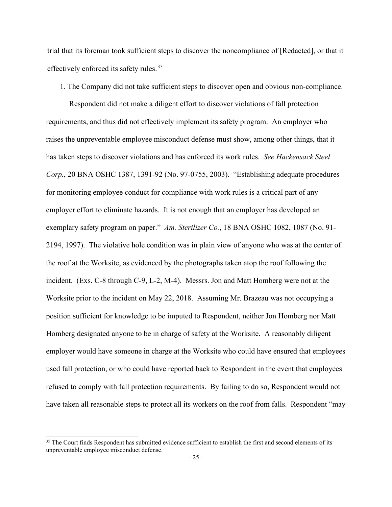trial that its foreman took sufficient steps to discover the noncompliance of [Redacted], or that it effectively enforced its safety rules.<sup>[35](#page-24-0)</sup>

1. The Company did not take sufficient steps to discover open and obvious non-compliance.

Respondent did not make a diligent effort to discover violations of fall protection requirements, and thus did not effectively implement its safety program. An employer who raises the unpreventable employee misconduct defense must show, among other things, that it has taken steps to discover violations and has enforced its work rules. *See Hackensack Steel Corp.*, 20 BNA OSHC 1387, 1391-92 (No. 97-0755, 2003). "Establishing adequate procedures for monitoring employee conduct for compliance with work rules is a critical part of any employer effort to eliminate hazards. It is not enough that an employer has developed an exemplary safety program on paper." *Am. Sterilizer Co.*, 18 BNA OSHC 1082, 1087 (No. 91- 2194, 1997). The violative hole condition was in plain view of anyone who was at the center of the roof at the Worksite, as evidenced by the photographs taken atop the roof following the incident. (Exs. C-8 through C-9, L-2, M-4). Messrs. Jon and Matt Homberg were not at the Worksite prior to the incident on May 22, 2018. Assuming Mr. Brazeau was not occupying a position sufficient for knowledge to be imputed to Respondent, neither Jon Homberg nor Matt Homberg designated anyone to be in charge of safety at the Worksite. A reasonably diligent employer would have someone in charge at the Worksite who could have ensured that employees used fall protection, or who could have reported back to Respondent in the event that employees refused to comply with fall protection requirements. By failing to do so, Respondent would not have taken all reasonable steps to protect all its workers on the roof from falls. Respondent "may

<span id="page-24-0"></span><sup>&</sup>lt;sup>35</sup> The Court finds Respondent has submitted evidence sufficient to establish the first and second elements of its unpreventable employee misconduct defense.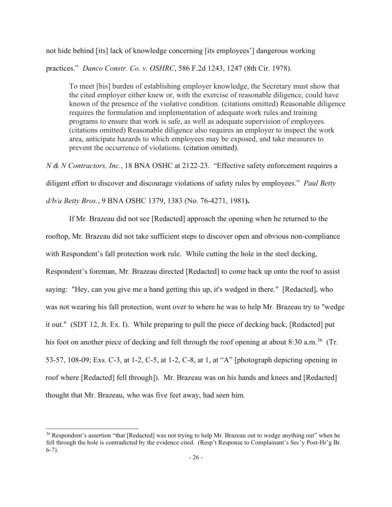not hide behind [its] lack of knowledge concerning [its employees'] dangerous working

practices." *Danco Constr. Co. v. OSHRC*, 586 F.2d 1243, 1247 (8th Cir. 1978).

To meet [his] burden of establishing employer knowledge, the Secretary must show that the cited employer either knew or, with the exercise of reasonable diligence, could have known of the presence of the violative condition. (citations omitted) Reasonable diligence requires the formulation and implementation of adequate work rules and training programs to ensure that work is safe, as well as adequate supervision of employees. (citations omitted) Reasonable diligence also requires an employer to inspect the work area, anticipate hazards to which employees may be exposed, and take measures to prevent the occurrence of violations. (citation omitted).

*N & N Contractors, Inc.*, 18 BNA OSHC at 2122-23. "Effective safety enforcement requires a diligent effort to discover and discourage violations of safety rules by employees." *Paul Betty d/b/a Betty Bros.*, 9 BNA OSHC 1379, 1383 (No. 76-4271, 1981**).** 

If Mr. Brazeau did not see [Redacted] approach the opening when he returned to the rooftop, Mr. Brazeau did not take sufficient steps to discover open and obvious non-compliance with Respondent's fall protection work rule. While cutting the hole in the steel decking, Respondent's foreman, Mr. Brazeau directed [Redacted] to come back up onto the roof to assist saying: "Hey, can you give me a hand getting this up, it's wedged in there." [Redacted], who was not wearing his fall protection, went over to where he was to help Mr. Brazeau try to "wedge it out." (SDT 12, Jt. Ex. I). While preparing to pull the piece of decking back, [Redacted] put his foot on another piece of decking and fell through the roof opening at about 8:30 a.m.<sup>[36](#page-25-0)</sup> (Tr. 53-57, 108-09; Exs. C-3, at 1-2, C-5, at 1-2, C-8, at 1, at "A" [photograph depicting opening in roof where [Redacted] fell through]). Mr. Brazeau was on his hands and knees and [Redacted] thought that Mr. Brazeau, who was five feet away, had seen him.

<span id="page-25-0"></span><sup>&</sup>lt;sup>36</sup> Respondent's assertion "that [Redacted] was not trying to help Mr. Brazeau out to wedge anything out" when he fell through the hole is contradicted by the evidence cited. (Resp't Response to Complainant's Sec'y Post-Hr'g Br. 6-7).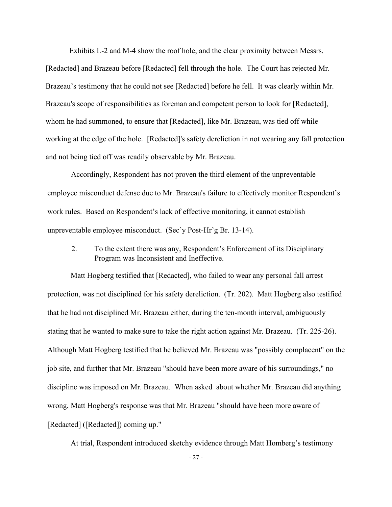Exhibits L-2 and M-4 show the roof hole, and the clear proximity between Messrs.

[Redacted] and Brazeau before [Redacted] fell through the hole. The Court has rejected Mr. Brazeau's testimony that he could not see [Redacted] before he fell. It was clearly within Mr. Brazeau's scope of responsibilities as foreman and competent person to look for [Redacted], whom he had summoned, to ensure that [Redacted], like Mr. Brazeau, was tied off while working at the edge of the hole. [Redacted]'s safety dereliction in not wearing any fall protection and not being tied off was readily observable by Mr. Brazeau.

Accordingly, Respondent has not proven the third element of the unpreventable employee misconduct defense due to Mr. Brazeau's failure to effectively monitor Respondent's work rules. Based on Respondent's lack of effective monitoring, it cannot establish unpreventable employee misconduct. (Sec'y Post-Hr'g Br. 13-14).

2. To the extent there was any, Respondent's Enforcement of its Disciplinary Program was Inconsistent and Ineffective.

Matt Hogberg testified that [Redacted], who failed to wear any personal fall arrest protection, was not disciplined for his safety dereliction. (Tr. 202). Matt Hogberg also testified that he had not disciplined Mr. Brazeau either, during the ten-month interval, ambiguously stating that he wanted to make sure to take the right action against Mr. Brazeau. (Tr. 225-26). Although Matt Hogberg testified that he believed Mr. Brazeau was "possibly complacent" on the job site, and further that Mr. Brazeau "should have been more aware of his surroundings," no discipline was imposed on Mr. Brazeau. When asked about whether Mr. Brazeau did anything wrong, Matt Hogberg's response was that Mr. Brazeau "should have been more aware of [Redacted] ([Redacted]) coming up."

At trial, Respondent introduced sketchy evidence through Matt Homberg's testimony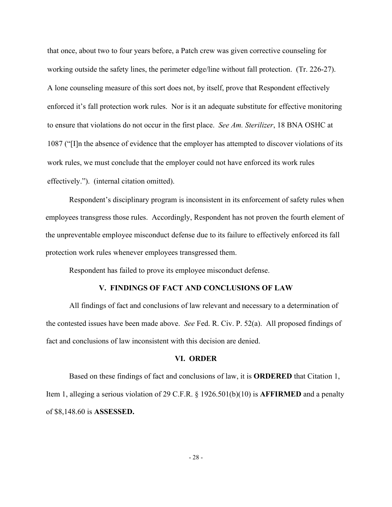that once, about two to four years before, a Patch crew was given corrective counseling for working outside the safety lines, the perimeter edge/line without fall protection. (Tr. 226-27). A lone counseling measure of this sort does not, by itself, prove that Respondent effectively enforced it's fall protection work rules. Nor is it an adequate substitute for effective monitoring to ensure that violations do not occur in the first place. *See Am. Sterilizer*, 18 BNA OSHC at 1087 ("[I]n the absence of evidence that the employer has attempted to discover violations of its work rules, we must conclude that the employer could not have enforced its work rules effectively."). (internal citation omitted).

Respondent's disciplinary program is inconsistent in its enforcement of safety rules when employees transgress those rules. Accordingly, Respondent has not proven the fourth element of the unpreventable employee misconduct defense due to its failure to effectively enforced its fall protection work rules whenever employees transgressed them.

Respondent has failed to prove its employee misconduct defense.

#### **V. FINDINGS OF FACT AND CONCLUSIONS OF LAW**

All findings of fact and conclusions of law relevant and necessary to a determination of the contested issues have been made above. *See* Fed. R. Civ. P. 52(a). All proposed findings of fact and conclusions of law inconsistent with this decision are denied.

#### **VI. ORDER**

 Based on these findings of fact and conclusions of law, it is **ORDERED** that Citation 1, Item 1, alleging a serious violation of 29 C.F.R. § 1926.501(b)(10) is **AFFIRMED** and a penalty of \$8,148.60 is **ASSESSED.**